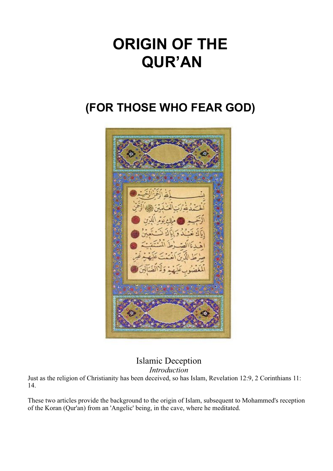# **ORIGIN OF THE QUR'AN**

# **(FOR THOSE WHO FEAR GOD)**



Islamic Deception

*Introduction*

Just as the religion of Christianity has been deceived, so has Islam, Revelation 12:9, 2 Corinthians 11: 14.

These two articles provide the background to the origin of Islam, subsequent to Mohammed's reception of the Koran (Qur'an) from an 'Angelic' being, in the cave, where he meditated.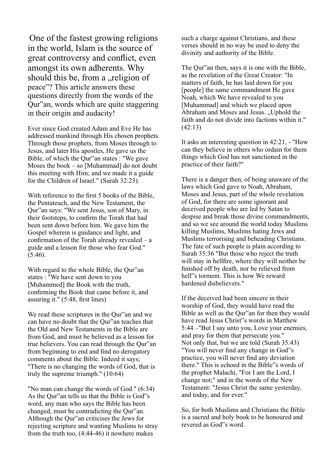One of the fastest growing religions in the world, Islam is the source of great controversy and conflict, even amongst its own adherents. Why should this be, from a "religion of peace"? This article answers these questions directly from the words of the Qur"an, words which are quite staggering in their origin and audacity!

Ever since God created Adam and Eve He has addressed mankind through His chosen prophets. Through those prophets, from Moses through to Jesus, and later His apostles, He gave us the Bible, of which the Qur"an states : "We gave Moses the book – so [Muhammad] do not doubt this meeting with Him; and we made it a guide for the Children of Israel." (Surah 32:23).

With reference to the first 5 books of the Bible, the Pentateuch, and the New Testament, the Qur"an says: "We sent Jesus, son of Mary, in their footsteps, to confirm the Torah that had been sent down before him. We gave him the Gospel wherein is guidance and light, and confirmation of the Torah already revealed – a guide and a lesson for those who fear God." (5:46).

With regard to the whole Bible, the Qur"an states : "We have sent down to you [Muhammed] the Book with the truth, confirming the Book that came before it, and assuring it." (5:48, first lines)

We read these scriptures in the Qur"an and we can have no doubt that the Qur"an teaches that the Old and New Testaments in the Bible are from God, and must be believed as a lesson for true believers. You can read through the Qur"an from beginning to end and find no derogatory comments about the Bible. Indeed it says; "There is no changing the words of God, that is truly the supreme triumph." (10:64)

"No man can change the words of God." (6:34) As the Qur"an tells us that the Bible is God"s word, any man who says the Bible has been changed, must be contradicting the Qur"an. Although the Qur"an criticises the Jews for rejecting scripture and wanting Muslims to stray from the truth too, (4:44-46) it nowhere makes

such a charge against Christians, and these verses should in no way be used to deny the divinity and authority of the Bible.

The Qur"an then, says it is one with the Bible, as the revelation of the Great Creator: "In matters of faith, he has laid down for you [people] the same commandment He gave Noah, which We have revealed to you [Muhammad] and which we placed upon Abraham and Moses and Jesus. "Uphold the faith and do not divide into factions within it." (42:13)

It asks an interesting question in 42:21, - "How can they believe in others who ordain for them things which God has not sanctioned in the practice of their faith?"

There is a danger then, of being unaware of the laws which God gave to Noah, Abraham, Moses and Jesus, part of the whole revelation of God, for there are some ignorant and deceived people who are led by Satan to despise and break those divine commandments, and so we see around the world today Muslims killing Muslims, Muslims hating Jews and Muslims terrorising and beheading Christians. The fate of such people is plain according to Surah 35:36 "But those who reject the truth will stay in hellfire, where they will neither be finished off by death, nor be relieved from hell"s torment. This is how We reward hardened disbelievers."

If the deceived had been sincere in their worship of God, they would have read the Bible as well as the Qur"an for then they would have read Jesus Christ"s words in Matthew 5:44 –"But I say unto you, Love your enemies, and pray for them that persecute you." Not only that, but we are told (Surah 35:43) "You will never find any change in God"s practice, you will never find any deviation there." This is echoed in the Bible"s words of the prophet Malachi, "For I am the Lord, I change not;" and in the words of the New Testament: "Jesus Christ the same yesterday, and today, and for ever."

So, for both Muslims and Christians the Bible is a sacred and holy book to be honoured and revered as God"s word.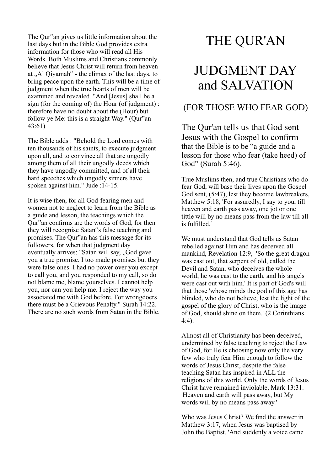The Qur"an gives us little information about the last days but in the Bible God provides extra information for those who will read all His Words. Both Muslims and Christians commonly believe that Jesus Christ will return from heaven at "Al Qiyamah" - the climax of the last days, to bring peace upon the earth. This will be a time of judgment when the true hearts of men will be examined and revealed. "And [Jesus] shall be a sign (for the coming of) the Hour (of judgment) : therefore have no doubt about the (Hour) but follow ye Me: this is a straight Way." (Qur"an 43:61)

The Bible adds : "Behold the Lord comes with ten thousands of his saints, to execute judgment upon all, and to convince all that are ungodly among them of all their ungodly deeds which they have ungodly committed, and of all their hard speeches which ungodly sinners have spoken against him." Jude :14-15.

It is wise then, for all God-fearing men and women not to neglect to learn from the Bible as a guide and lesson, the teachings which the Qur"an confirms are the words of God, for then they will recognise Satan"s false teaching and promises. The Qur"an has this message for its followers, for when that judgment day eventually arrives; "Satan will say, "God gave you a true promise. I too made promises but they were false ones: I had no power over you except to call you, and you responded to my call, so do not blame me, blame yourselves. I cannot help you, nor can you help me. I reject the way you associated me with God before. For wrongdoers there must be a Grievous Penalty." Surah 14:22. There are no such words from Satan in the Bible.

### THE QUR'AN

# JUDGMENT DAY and SALVATION

#### (FOR THOSE WHO FEAR GOD)

The Qur'an tells us that God sent Jesus with the Gospel to confirm that the Bible is to be "a guide and a lesson for those who fear (take heed) of God" (Surah 5:46).

True Muslims then, and true Christians who do fear God, will base their lives upon the Gospel God sent, (5:47), lest they become lawbreakers, Matthew 5:18, 'For assuredly, I say to you, till heaven and earth pass away, one jot or one tittle will by no means pass from the law till all is fulfilled.'

We must understand that God tells us Satan rebelled against Him and has deceived all mankind, Revelation 12:9, 'So the great dragon was cast out, that serpent of old, called the Devil and Satan, who deceives the whole world; he was cast to the earth, and his angels were cast out with him.' It is part of God's will that those 'whose minds the god of this age has blinded, who do not believe, lest the light of the gospel of the glory of Christ, who is the image of God, should shine on them.' (2 Corinthians 4:4).

Almost all of Christianity has been deceived, undermined by false teaching to reject the Law of God, for He is choosing now only the very few who truly fear Him enough to follow the words of Jesus Christ, despite the false teaching Satan has inspired in ALL the religions of this world. Only the words of Jesus Christ have remained inviolable, Mark 13:31. 'Heaven and earth will pass away, but My words will by no means pass away.'

Who was Jesus Christ? We find the answer in Matthew 3:17, when Jesus was baptised by John the Baptist, 'And suddenly a voice came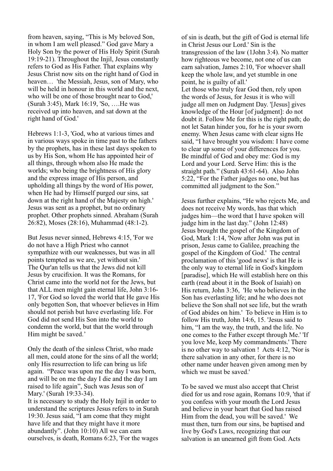from heaven, saying, "This is My beloved Son, in whom I am well pleased." God gave Mary a Holy Son by the power of His Holy Spirit (Surah 19:19-21). Throughout the Injil, Jesus constantly refers to God as His Father. That explains why Jesus Christ now sits on the right hand of God in heaven… 'the Messiah, Jesus, son of Mary, who will be held in honour in this world and the next, who will be one of those brought near to God,' (Surah 3:45), Mark 16:19, 'So, ….He was received up into heaven, and sat down at the right hand of God.'

Hebrews 1:1-3, 'God, who at various times and in various ways spoke in time past to the fathers by the prophets, has in these last days spoken to us by His Son, whom He has appointed heir of all things, through whom also He made the worlds; who being the brightness of His glory and the express image of His person, and upholding all things by the word of His power, when He had by Himself purged our sins, sat down at the right hand of the Majesty on high.' Jesus was sent as a prophet, but no ordinary prophet. Other prophets sinned. Abraham (Surah 26:82), Moses (28:16), Muhammad (48:1-2).

But Jesus never sinned, Hebrews 4:15, 'For we do not have a High Priest who cannot sympathize with our weaknesses, but was in all points tempted as we are, yet without sin.' The Qur'an tells us that the Jews did not kill Jesus by crucifixion. It was the Romans, for Christ came into the world not for the Jews, but that ALL men might gain eternal life, John 3:16- 17, 'For God so loved the world that He gave His only begotten Son, that whoever believes in Him should not perish but have everlasting life. For God did not send His Son into the world to condemn the world, but that the world through Him might be saved.'

Only the death of the sinless Christ, who made all men, could atone for the sins of all the world; only His resurrection to life can bring us life again. "Peace was upon me the day I was born, and will be on me the day I die and the day I am raised to life again", Such was Jesus son of Mary.' (Surah 19:33-34).

It is necessary to study the Holy Injil in order to understand the scriptures Jesus refers to in Surah 19:30. Jesus said, "I am come that they might have life and that they might have it more abundantly". (John 10:10) All we can earn ourselves, is death, Romans 6:23, 'For the wages

of sin is death, but the gift of God is eternal life in Christ Jesus our Lord.' Sin is the transgression of the law (1John 3:4). No matter how righteous we become, not one of us can earn salvation, James 2:10, 'For whoever shall keep the whole law, and yet stumble in one point, he is guilty of all.' Let those who truly fear God then, rely upon the words of Jesus, for Jesus it is who will judge all men on Judgment Day. '[Jesus] gives knowledge of the Hour [of judgment]: do not doubt it. Follow Me for this is the right path; do not let Satan hinder you, for he is your sworn enemy. When Jesus came with clear signs He said, "I have brought you wisdom: I have come to clear up some of your differences for you. Be mindful of God and obey me: God is my Lord and your Lord. Serve Him: this is the straight path." (Surah 43:61-64). Also John 5:22, "For the Father judges no one, but has committed all judgment to the Son."

Jesus further explains, "He who rejects Me, and does not receive My words, has that which judges him—the word that I have spoken will judge him in the last day." (John 12:48) Jesus brought the gospel of the Kingdom of God, Mark 1:14, 'Now after John was put in prison, Jesus came to Galilee, preaching the gospel of the Kingdom of God.' The central proclamation of this 'good news' is that He is the only way to eternal life in God's kingdom [paradise], which He will establish here on this earth (read about it in the Book of Isaiah) on His return, John 3:36, 'He who believes in the Son has everlasting life; and he who does not believe the Son shall not see life, but the wrath of God abides on him.' To believe in Him is to follow His truth, John 14:6, 15. 'Jesus said to him, "I am the way, the truth, and the life. No one comes to the Father except through Me.' 'If you love Me, keep My commandments.' There is no other way to salvation ! Acts 4:12, 'Nor is there salvation in any other, for there is no other name under heaven given among men by which we must be saved.'

To be saved we must also accept that Christ died for us and rose again, Romans 10:9, 'that if you confess with your mouth the Lord Jesus and believe in your heart that God has raised Him from the dead, you will be saved.' We must then, turn from our sins, be baptised and live by God's Laws, recognizing that our salvation is an unearned gift from God. Acts